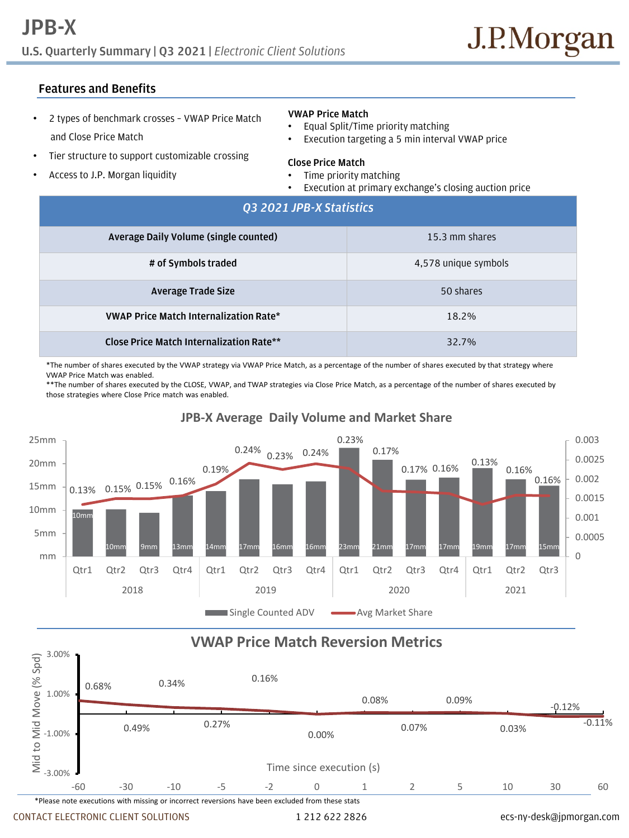## **Features and Benefits**

- 2 types of benchmark crosses VWAP Price Match and Close Price Match
- Tier structure to support customizable crossing
- Access to J.P. Morgan liquidity

### **VWAP Price Match**

- Equal Split/Time priority matching
- Execution targeting a 5 min interval VWAP price

### **Close Price Match**

- Time priority matching
- Execution at primary exchange's closing auction price

| Q3 2021 JPB-X Statistics                        |                      |
|-------------------------------------------------|----------------------|
| Average Daily Volume (single counted)           | 15.3 mm shares       |
| # of Symbols traded                             | 4,578 unique symbols |
| <b>Average Trade Size</b>                       | 50 shares            |
| <b>VWAP Price Match Internalization Rate*</b>   | 18.2%                |
| <b>Close Price Match Internalization Rate**</b> | 32.7%                |

\*The number of shares executed by the VWAP strategy via VWAP Price Match, as a percentage of the number of shares executed by that strategy where VWAP Price Match was enabled.

\*\*The number of shares executed by the CLOSE, VWAP, and TWAP strategies via Close Price Match, as a percentage of the number of shares executed by those strategies where Close Price match was enabled.



## **JPB-X Average Daily Volume and Market Share**

# **VWAP Price Match Reversion Metrics**



CONTACT ELECTRONIC CLIENT SOLUTIONS 1 212 622 2826 ecs-ny-desk@jpmorgan.com

3.00%